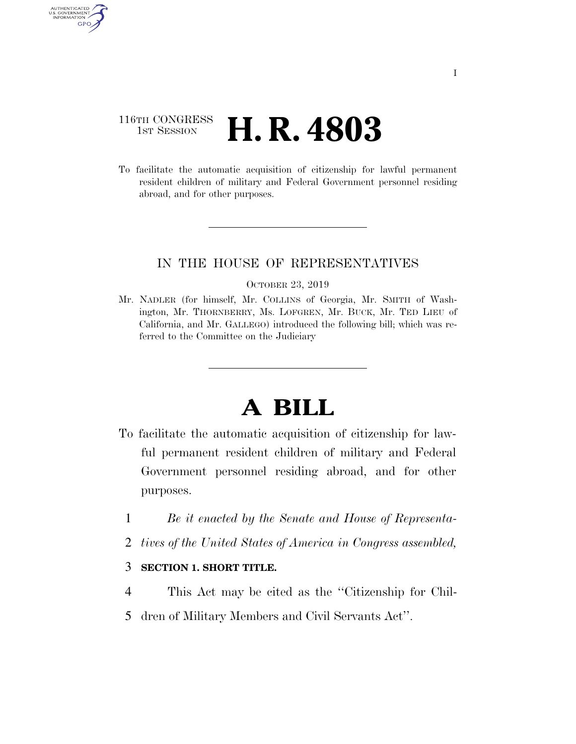# 116TH CONGRESS **1st Session H. R. 4803**

AUTHENTICATED U.S. GOVERNMENT GPO

> To facilitate the automatic acquisition of citizenship for lawful permanent resident children of military and Federal Government personnel residing abroad, and for other purposes.

## IN THE HOUSE OF REPRESENTATIVES

#### OCTOBER 23, 2019

Mr. NADLER (for himself, Mr. COLLINS of Georgia, Mr. SMITH of Washington, Mr. THORNBERRY, Ms. LOFGREN, Mr. BUCK, Mr. TED LIEU of California, and Mr. GALLEGO) introduced the following bill; which was referred to the Committee on the Judiciary

# **A BILL**

- To facilitate the automatic acquisition of citizenship for lawful permanent resident children of military and Federal Government personnel residing abroad, and for other purposes.
	- 1 *Be it enacted by the Senate and House of Representa-*
	- 2 *tives of the United States of America in Congress assembled,*

### 3 **SECTION 1. SHORT TITLE.**

- 4 This Act may be cited as the ''Citizenship for Chil-
- 5 dren of Military Members and Civil Servants Act''.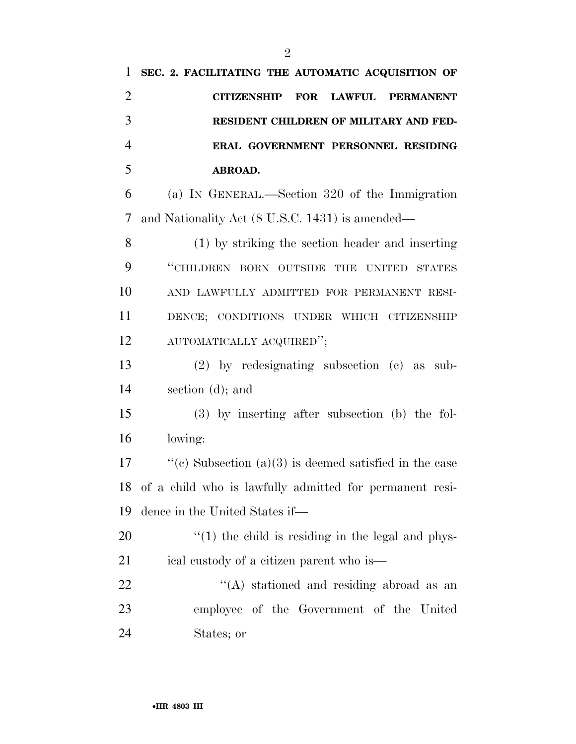| 1              | SEC. 2. FACILITATING THE AUTOMATIC ACQUISITION OF        |
|----------------|----------------------------------------------------------|
| $\overline{2}$ | FOR LAWFUL<br><b>PERMANENT</b><br><b>CITIZENSHIP</b>     |
| 3              | RESIDENT CHILDREN OF MILITARY AND FED-                   |
| $\overline{4}$ | ERAL GOVERNMENT PERSONNEL RESIDING                       |
| 5              | ABROAD.                                                  |
| 6              | (a) IN GENERAL.—Section 320 of the Immigration           |
| 7              | and Nationality Act (8 U.S.C. 1431) is amended—          |
| 8              | (1) by striking the section header and inserting         |
| 9              | "CHILDREN BORN OUTSIDE THE UNITED STATES                 |
| 10             | AND LAWFULLY ADMITTED FOR PERMANENT RESI-                |
| 11             | DENCE; CONDITIONS UNDER WHICH CITIZENSHIP                |
| 12             | AUTOMATICALLY ACQUIRED";                                 |
| 13             | $(2)$ by redesignating subsection $(e)$ as sub-          |
| 14             | section $(d)$ ; and                                      |
| 15             | $(3)$ by inserting after subsection (b) the fol-         |
| 16             | lowing:                                                  |
| 17             | "(c) Subsection $(a)(3)$ is deemed satisfied in the case |
| 18             | of a child who is lawfully admitted for permanent resi-  |
| 19             | dence in the United States if—                           |
| 20             | $\lq(1)$ the child is residing in the legal and phys-    |
| 21             | ical custody of a citizen parent who is—                 |
| 22             | $\lq\lq$ stationed and residing abroad as an             |
| 23             | employee of the Government of the United                 |
| 24             | States; or                                               |